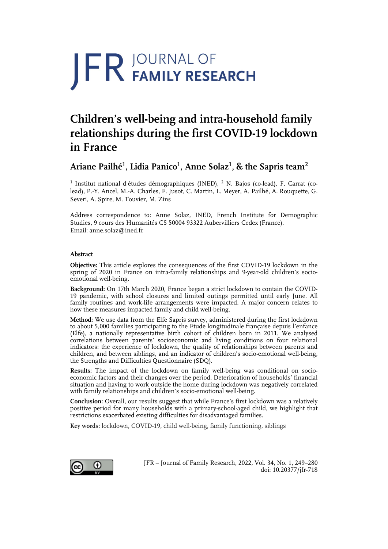# **JFR JOURNAL OF**

# **Children's well-being and intra-household family relationships during the first COVID-19 lockdown in France**

# **Ariane Pailhé<sup>1</sup> , Lidia Panico1 , Anne Solaz<sup>1</sup> , & the Sapris team<sup>2</sup>**

<sup>1</sup> Institut national d'études démographiques (INED), <sup>2</sup> N. Bajos (co-lead), F. Carrat (colead), P.-Y. Ancel, M.-A. Charles, F. Jusot, C. Martin, L. Meyer, A. Pailhé, A. Rouquette, G. Severi, A. Spire, M. Touvier, M. Zins

Address correspondence to: Anne Solaz, INED, French Institute for Demographic Studies, 9 cours des Humanités CS 50004 93322 Aubervilliers Cedex (France). Email: anne.solaz@ined.fr

# **Abstract**

**Objective:** This article explores the consequences of the first COVID-19 lockdown in the spring of 2020 in France on intra-family relationships and 9-year-old children's socioemotional well-being.

**Background:** On 17th March 2020, France began a strict lockdown to contain the COVID-19 pandemic, with school closures and limited outings permitted until early June. All family routines and work-life arrangements were impacted. A major concern relates to how these measures impacted family and child well-being.

**Method:** We use data from the Elfe Sapris survey, administered during the first lockdown to about 5,000 families participating to the Etude longitudinale française depuis l'enfance (Elfe), a nationally representative birth cohort of children born in 2011. We analysed correlations between parents' socioeconomic and living conditions on four relational indicators: the experience of lockdown, the quality of relationships between parents and children, and between siblings, and an indicator of children's socio-emotional well-being, the Strengths and Difficulties Questionnaire (SDQ).

**Results:** The impact of the lockdown on family well-being was conditional on socioeconomic factors and their changes over the period. Deterioration of households' financial situation and having to work outside the home during lockdown was negatively correlated with family relationships and children's socio-emotional well-being.

**Conclusion:** Overall, our results suggest that while France's first lockdown was a relatively positive period for many households with a primary-school-aged child, we highlight that restrictions exacerbated existing difficulties for disadvantaged families.

**Key words:** lockdown, COVID-19, child well-being, family functioning, siblings



JFR – Journal of Family Research, 2022, Vol. 34, No. 1, 249–280 doi: 10.20377/jfr-718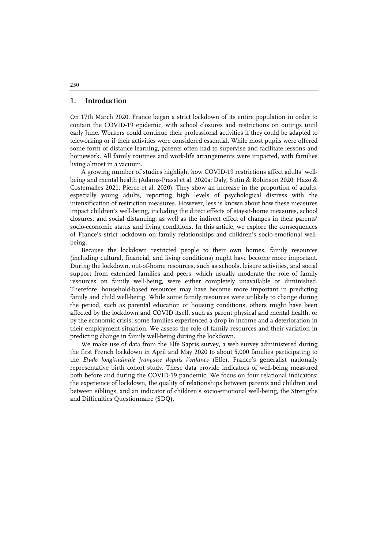#### **1. Introduction**

On 17th March 2020, France began a strict lockdown of its entire population in order to contain the COVID-19 epidemic, with school closures and restrictions on outings until early June. Workers could continue their professional activities if they could be adapted to teleworking or if their activities were considered essential. While most pupils were offered some form of distance learning, parents often had to supervise and facilitate lessons and homework. All family routines and work-life arrangements were impacted, with families living almost in a vacuum.

A growing number of studies highlight how COVID-19 restrictions affect adults' wellbeing and mental health (Adams-Prassl et al. 2020a; Daly, Sutin & Robinson 2020; Hazo & Costemalles 2021; Pierce et al. 2020). They show an increase in the proportion of adults, especially young adults, reporting high levels of psychological distress with the intensification of restriction measures. However, less is known about how these measures impact children's well-being, including the direct effects of stay-at-home measures, school closures, and social distancing, as well as the indirect effect of changes in their parents' socio-economic status and living conditions. In this article, we explore the consequences of France's strict lockdown on family relationships and children's socio-emotional wellbeing.

Because the lockdown restricted people to their own homes, family resources (including cultural, financial, and living conditions) might have become more important. During the lockdown, out-of-home resources, such as schools, leisure activities, and social support from extended families and peers, which usually moderate the role of family resources on family well-being, were either completely unavailable or diminished. Therefore, household-based resources may have become more important in predicting family and child well-being. While some family resources were unlikely to change during the period, such as parental education or housing conditions, others might have been affected by the lockdown and COVID itself, such as parent physical and mental health, or by the economic crisis; some families experienced a drop in income and a deterioration in their employment situation. We assess the role of family resources and their variation in predicting change in family well-being during the lockdown.

We make use of data from the Elfe Sapris survey, a web survey administered during the first French lockdown in April and May 2020 to about 5,000 families participating to the *Etude longitudinale française depuis l'enfance* (Elfe), France's generalist nationally representative birth cohort study. These data provide indicators of well-being measured both before and during the COVID-19 pandemic. We focus on four relational indicators: the experience of lockdown, the quality of relationships between parents and children and between siblings, and an indicator of children's socio-emotional well-being, the Strengths and Difficulties Questionnaire (SDQ).

250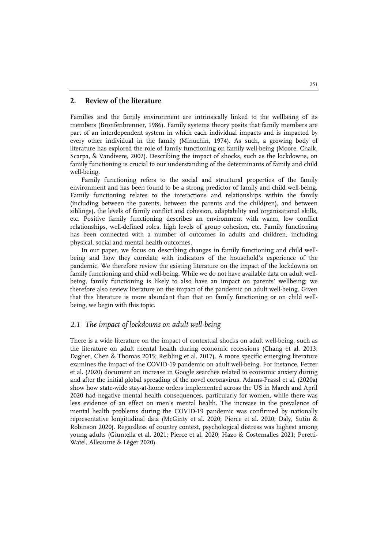# **2. Review of the literature**

Families and the family environment are intrinsically linked to the wellbeing of its members (Bronfenbrenner, 1986). Family systems theory posits that family members are part of an interdependent system in which each individual impacts and is impacted by every other individual in the family (Minuchin, 1974). As such, a growing body of literature has explored the role of family functioning on family well-being (Moore, Chalk, Scarpa, & Vandivere, 2002). Describing the impact of shocks, such as the lockdowns, on family functioning is crucial to our understanding of the determinants of family and child well-being.

Family functioning refers to the social and structural properties of the family environment and has been found to be a strong predictor of family and child well-being. Family functioning relates to the interactions and relationships within the family (including between the parents, between the parents and the child(ren), and between siblings), the levels of family conflict and cohesion, adaptability and organisational skills, etc. Positive family functioning describes an environment with warm, low conflict relationships, well-defined roles, high levels of group cohesion, etc. Family functioning has been connected with a number of outcomes in adults and children, including physical, social and mental health outcomes.

In our paper, we focus on describing changes in family functioning and child wellbeing and how they correlate with indicators of the household's experience of the pandemic. We therefore review the existing literature on the impact of the lockdowns on family functioning and child well-being. While we do not have available data on adult wellbeing, family functioning is likely to also have an impact on parents' wellbeing; we therefore also review literature on the impact of the pandemic on adult well-being. Given that this literature is more abundant than that on family functioning or on child wellbeing, we begin with this topic.

# *2.1 The impact of lockdowns on adult well-being*

There is a wide literature on the impact of contextual shocks on adult well-being, such as the literature on adult mental health during economic recessions (Chang et al. 2013; Dagher, Chen & Thomas 2015; Reibling et al. 2017). A more specific emerging literature examines the impact of the COVID-19 pandemic on adult well-being. For instance, Fetzer et al. (2020) document an increase in Google searches related to economic anxiety during and after the initial global spreading of the novel coronavirus. Adams-Prassl et al. (2020a) show how state-wide stay-at-home orders implemented across the US in March and April 2020 had negative mental health consequences, particularly for women, while there was less evidence of an effect on men's mental health. The increase in the prevalence of mental health problems during the COVID-19 pandemic was confirmed by nationally representative longitudinal data (McGinty et al. 2020; Pierce et al. 2020; Daly, Sutin & Robinson 2020). Regardless of country context, psychological distress was highest among young adults (Giuntella et al. 2021; Pierce et al. 2020; Hazo & Costemalles 2021; Peretti-Watel, Alleaume & Léger 2020).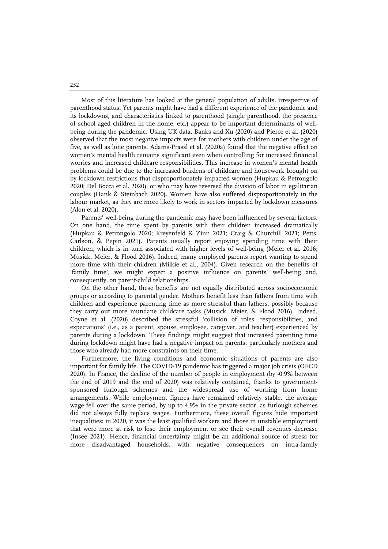Most of this literature has looked at the general population of adults, irrespective of parenthood status. Yet parents might have had a different experience of the pandemic and its lockdowns, and characteristics linked to parenthood (single parenthood, the presence of school aged children in the home, etc.) appear to be important determinants of wellbeing during the pandemic. Using UK data, Banks and Xu (2020) and Pierce et al. (2020) observed that the most negative impacts were for mothers with children under the age of five, as well as lone parents. Adams-Prassl et al. (2020a) found that the negative effect on women's mental health remains significant even when controlling for increased financial worries and increased childcare responsibilities. This increase in women's mental health problems could be due to the increased burdens of childcare and housework brought on by lockdown restrictions that disproportionately impacted women (Hupkau & Petrongolo 2020; Del Bocca et al. 2020), or who may have reversed the division of labor in egalitarian couples (Hank & Steinbach 2020). Women have also suffered disproportionately in the labour market, as they are more likely to work in sectors impacted by lockdown measures (Alon et al. 2020).

Parents' well-being during the pandemic may have been influenced by several factors. On one hand, the time spent by parents with their children increased dramatically (Hupkau & Petrongolo 2020; Kreyenfeld & Zinn 2021; Craig & Churchill 2021; Petts, Carlson, & Pepin 2021). Parents usually report enjoying spending time with their children, which is in turn associated with higher levels of well-being (Meier et al. 2016; Musick, Meier, & Flood 2016). Indeed, many employed parents report wanting to spend more time with their children (Milkie et al., 2004). Given research on the benefits of 'family time', we might expect a positive influence on parents' well-being and, consequently, on parent-child relationships.

On the other hand, these benefits are not equally distributed across socioeconomic groups or according to parental gender. Mothers benefit less than fathers from time with children and experience parenting time as more stressful than fathers, possibly because they carry out more mundane childcare tasks (Musick, Meier, & Flood 2016). Indeed, Coyne et al. (2020) described the stressful 'collision of roles, responsibilities, and expectations' (i.e., as a parent, spouse, employee, caregiver, and teacher) experienced by parents during a lockdown. These findings might suggest that increased parenting time during lockdown might have had a negative impact on parents, particularly mothers and those who already had more constraints on their time.

Furthermore, the living conditions and economic situations of parents are also important for family life. The COVID-19 pandemic has triggered a major job crisis (OECD 2020). In France, the decline of the number of people in employment (by -0.9% between the end of 2019 and the end of 2020) was relatively contained, thanks to governmentsponsored furlough schemes and the widespread use of working from home arrangements. While employment figures have remained relatively stable, the average wage fell over the same period, by up to 4.9% in the private sector, as furlough schemes did not always fully replace wages. Furthermore, these overall figures hide important inequalities: in 2020, it was the least qualified workers and those in unstable employment that were more at risk to lose their employment or see their overall revenues decrease (Insee 2021). Hence, financial uncertainty might be an additional source of stress for more disadvantaged households, with negative consequences on intra-family

252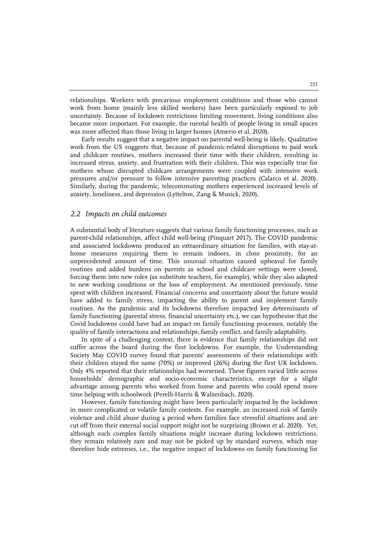relationships. Workers with precarious employment conditions and those who cannot work from home (mainly less skilled workers) have been particularly exposed to job uncertainty. Because of lockdown restrictions limiting movement, living conditions also became more important. For example, the mental health of people living in small spaces was more affected than those living in larger homes (Amerio et al. 2020).

Early results suggest that a negative impact on parental well-being is likely. Qualitative work from the US suggests that, because of pandemic-related disruptions to paid work and childcare routines, mothers increased their time with their children, resulting in increased stress, anxiety, and frustration with their children. This was especially true for mothers whose disrupted childcare arrangements were coupled with intensive work pressures and/or pressure to follow intensive parenting practices (Calarco et al. 2020). Similarly, during the pandemic, telecommuting mothers experienced increased levels of anxiety, loneliness, and depression (Lyttelton, Zang & Musick, 2020).

#### *2.2 Impacts on child outcomes*

A substantial body of literature suggests that various family functioning processes, such as parent-child relationships, affect child well-being (Pinquart 2017). The COVID pandemic and associated lockdowns produced an extraordinary situation for families, with stay-athome measures requiring them to remain indoors, in close proximity, for an unprecedented amount of time. This unusual situation caused upheaval for family routines and added burdens on parents as school and childcare settings were closed, forcing them into new roles (as substitute teachers, for example), while they also adapted to new working conditions or the loss of employment. As mentioned previously, time spent with children increased. Financial concerns and uncertainty about the future would have added to family stress, impacting the ability to parent and implement family routines. As the pandemic and its lockdowns therefore impacted key determinants of family functioning (parental stress, financial uncertainty etc.), we can hypothesise that the Covid lockdowns could have had an impact on family functioning processes, notably the quality of family interactions and relationships, family conflict, and family adaptability.

In spite of a challenging context, there is evidence that family relationships did not suffer across the board during the first lockdowns. For example, the Understanding Society May COVID survey found that parents' assessments of their relationships with their children stayed the same (70%) or improved (26%) during the first UK lockdown. Only 4% reported that their relationships had worsened. These figures varied little across households' demographic and socio-economic characteristics, except for a slight advantage among parents who worked from home and parents who could spend more time helping with schoolwork (Perelli-Harris & Walzenbach, 2020).

However, family functioning might have been particularly impacted by the lockdown in more complicated or volatile family contexts. For example, an increased risk of family violence and child abuse during a period when families face stressful situations and are cut off from their external social support might not be surprising (Brown et al. 2020). Yet, although such complex family situations might increase during lockdown restrictions, they remain relatively rare and may not be picked up by standard surveys, which may therefore hide extremes, i.e., the negative impact of lockdowns on family functioning for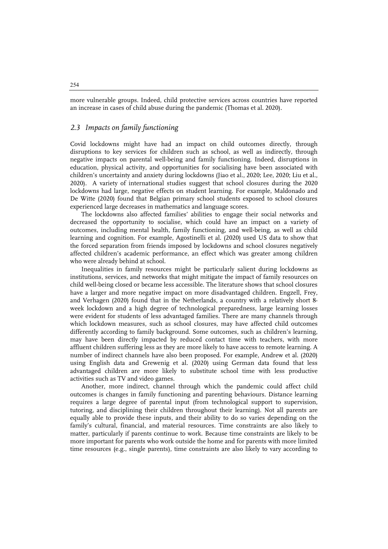more vulnerable groups. Indeed, child protective services across countries have reported an increase in cases of child abuse during the pandemic (Thomas et al. 2020).

# *2.3 Impacts on family functioning*

Covid lockdowns might have had an impact on child outcomes directly, through disruptions to key services for children such as school, as well as indirectly, through negative impacts on parental well-being and family functioning. Indeed, disruptions in education, physical activity, and opportunities for socialising have been associated with children's uncertainty and anxiety during lockdowns (Jiao et al., 2020; Lee, 2020; Liu et al., 2020). A variety of international studies suggest that school closures during the 2020 lockdowns had large, negative effects on student learning. For example, Maldonado and De Witte (2020) found that Belgian primary school students exposed to school closures experienced large decreases in mathematics and language scores.

The lockdowns also affected families' abilities to engage their social networks and decreased the opportunity to socialise, which could have an impact on a variety of outcomes, including mental health, family functioning, and well-being, as well as child learning and cognition. For example, Agostinelli et al. (2020) used US data to show that the forced separation from friends imposed by lockdowns and school closures negatively affected children's academic performance, an effect which was greater among children who were already behind at school.

Inequalities in family resources might be particularly salient during lockdowns as institutions, services, and networks that might mitigate the impact of family resources on child well-being closed or became less accessible. The literature shows that school closures have a larger and more negative impact on more disadvantaged children. Engzell, Frey, and Verhagen (2020) found that in the Netherlands, a country with a relatively short 8 week lockdown and a high degree of technological preparedness, large learning losses were evident for students of less advantaged families. There are many channels through which lockdown measures, such as school closures, may have affected child outcomes differently according to family background. Some outcomes, such as children's learning, may have been directly impacted by reduced contact time with teachers, with more affluent children suffering less as they are more likely to have access to remote learning. A number of indirect channels have also been proposed. For example, Andrew et al. (2020) using English data and Grewenig et al. (2020) using German data found that less advantaged children are more likely to substitute school time with less productive activities such as TV and video games.

Another, more indirect, channel through which the pandemic could affect child outcomes is changes in family functioning and parenting behaviours. Distance learning requires a large degree of parental input (from technological support to supervision, tutoring, and disciplining their children throughout their learning). Not all parents are equally able to provide these inputs, and their ability to do so varies depending on the family's cultural, financial, and material resources. Time constraints are also likely to matter, particularly if parents continue to work. Because time constraints are likely to be more important for parents who work outside the home and for parents with more limited time resources (e.g., single parents), time constraints are also likely to vary according to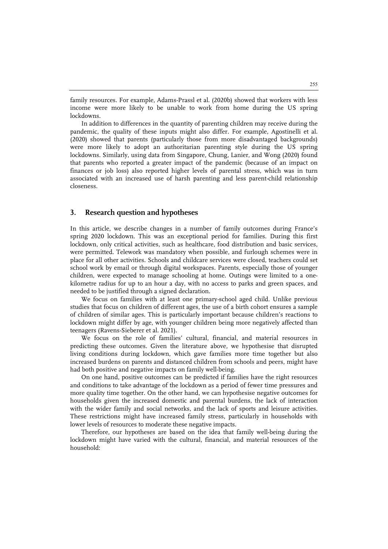family resources. For example, Adams-Prassl et al. (2020b) showed that workers with less income were more likely to be unable to work from home during the US spring lockdowns.

In addition to differences in the quantity of parenting children may receive during the pandemic, the quality of these inputs might also differ. For example, Agostinelli et al. (2020) showed that parents (particularly those from more disadvantaged backgrounds) were more likely to adopt an authoritarian parenting style during the US spring lockdowns. Similarly, using data from Singapore, Chung, Lanier, and Wong (2020) found that parents who reported a greater impact of the pandemic (because of an impact on finances or job loss) also reported higher levels of parental stress, which was in turn associated with an increased use of harsh parenting and less parent-child relationship closeness.

## **3. Research question and hypotheses**

In this article, we describe changes in a number of family outcomes during France's spring 2020 lockdown. This was an exceptional period for families. During this first lockdown, only critical activities, such as healthcare, food distribution and basic services, were permitted. Telework was mandatory when possible, and furlough schemes were in place for all other activities. Schools and childcare services were closed, teachers could set school work by email or through digital workspaces. Parents, especially those of younger children, were expected to manage schooling at home. Outings were limited to a onekilometre radius for up to an hour a day, with no access to parks and green spaces, and needed to be justified through a signed declaration.

We focus on families with at least one primary-school aged child. Unlike previous studies that focus on children of different ages, the use of a birth cohort ensures a sample of children of similar ages. This is particularly important because children's reactions to lockdown might differ by age, with younger children being more negatively affected than teenagers (Ravens-Sieberer et al. 2021).

We focus on the role of families' cultural, financial, and material resources in predicting these outcomes. Given the literature above, we hypothesise that disrupted living conditions during lockdown, which gave families more time together but also increased burdens on parents and distanced children from schools and peers, might have had both positive and negative impacts on family well-being.

On one hand, positive outcomes can be predicted if families have the right resources and conditions to take advantage of the lockdown as a period of fewer time pressures and more quality time together. On the other hand, we can hypothesise negative outcomes for households given the increased domestic and parental burdens, the lack of interaction with the wider family and social networks, and the lack of sports and leisure activities. These restrictions might have increased family stress, particularly in households with lower levels of resources to moderate these negative impacts.

Therefore, our hypotheses are based on the idea that family well-being during the lockdown might have varied with the cultural, financial, and material resources of the household: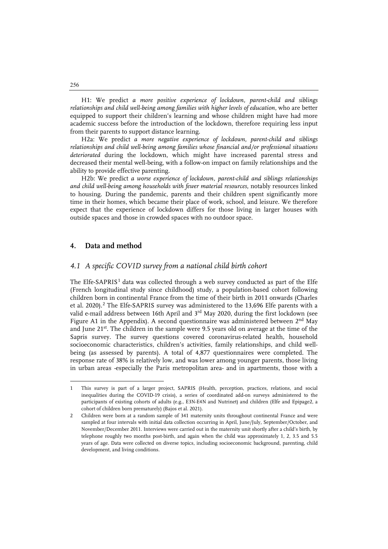H1: We predict *a more positive experience of lockdown, parent-child and siblings relationships and child well-being among families with higher levels of education*, who are better equipped to support their children's learning and whose children might have had more academic success before the introduction of the lockdown, therefore requiring less input from their parents to support distance learning.

H2a: We predict *a more negative experience of lockdown, parent-child and siblings relationships and child well-being among families whose financial and/or professional situations deteriorated* during the lockdown, which might have increased parental stress and decreased their mental well-being, with a follow-on impact on family relationships and the ability to provide effective parenting.

H2b: We predict *a worse experience of lockdown, parent-child and siblings relationships and child well-being among households with fewer material resources*, notably resources linked to housing. During the pandemic, parents and their children spent significantly more time in their homes, which became their place of work, school, and leisure. We therefore expect that the experience of lockdown differs for those living in larger houses with outside spaces and those in crowded spaces with no outdoor space.

# **4. Data and method**

#### *4.1 A specific COVID survey from a national child birth cohort*

The Elfe-SAPRIS<sup>[1](#page-7-0)</sup> data was collected through a web survey conducted as part of the Elfe (French longitudinal study since childhood) study, a population-based cohort following children born in continental France from the time of their birth in 2011 onwards (Charles et al. [2](#page-7-1)020).<sup>2</sup> The Elfe-SAPRIS survey was administered to the 13,696 Elfe parents with a valid e-mail address between 16th April and 3<sup>rd</sup> May 2020, during the first lockdown (see Figure A1 in the Appendix). A second questionnaire was administered between  $2<sup>nd</sup>$  May and June  $21^{st}$ . The children in the sample were 9.5 years old on average at the time of the Sapris survey. The survey questions covered coronavirus-related health, household socioeconomic characteristics, children's activities, family relationships, and child wellbeing (as assessed by parents). A total of 4,877 questionnaires were completed. The response rate of 38% is relatively low, and was lower among younger parents, those living in urban areas -especially the Paris metropolitan area- and in apartments, those with a

256

j

<span id="page-7-0"></span><sup>1</sup> This survey is part of a larger project, SAPRIS (Health, perception, practices, relations, and social inequalities during the COVID-19 crisis), a series of coordinated add-on surveys administered to the participants of existing cohorts of adults (e.g., E3N-E4N and Nutrinet) and children (Elfe and Epipage2, a cohort of children born prematurely) (Bajos et al. 2021).

<span id="page-7-1"></span><sup>2</sup> Children were born at a random sample of 341 maternity units throughout continental France and were sampled at four intervals with initial data collection occurring in April, June/July, September/October, and November/December 2011. Interviews were carried out in the maternity unit shortly after a child's birth, by telephone roughly two months post-birth, and again when the child was approximately 1, 2, 3.5 and 5.5 years of age. Data were collected on diverse topics, including socioeconomic background, parenting, child development, and living conditions.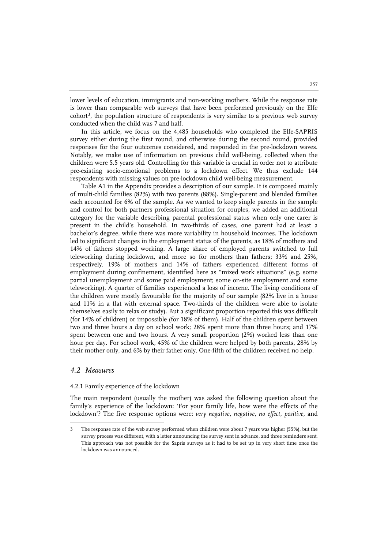lower levels of education, immigrants and non-working mothers. While the response rate is lower than comparable web surveys that have been performed previously on the Elfe  $\text{cohort}^3$ , the population structure of respondents is very similar to a previous web survey conducted when the child was 7 and half.

In this article, we focus on the 4,485 households who completed the Elfe-SAPRIS survey either during the first round, and otherwise during the second round, provided responses for the four outcomes considered, and responded in the pre-lockdown waves. Notably, we make use of information on previous child well-being, collected when the children were 5.5 years old. Controlling for this variable is crucial in order not to attribute pre-existing socio-emotional problems to a lockdown effect. We thus exclude 144 respondents with missing values on pre-lockdown child well-being measurement.

Table A1 in the Appendix provides a description of our sample. It is composed mainly of multi-child families (82%) with two parents (88%). Single-parent and blended families each accounted for 6% of the sample. As we wanted to keep single parents in the sample and control for both partners professional situation for couples, we added an additional category for the variable describing parental professional status when only one carer is present in the child's household. In two-thirds of cases, one parent had at least a bachelor's degree, while there was more variability in household incomes. The lockdown led to significant changes in the employment status of the parents, as 18% of mothers and 14% of fathers stopped working. A large share of employed parents switched to full teleworking during lockdown, and more so for mothers than fathers; 33% and 25%, respectively. 19% of mothers and 14% of fathers experienced different forms of employment during confinement, identified here as "mixed work situations" (e.g. some partial unemployment and some paid employment; some on-site employment and some teleworking). A quarter of families experienced a loss of income. The living conditions of the children were mostly favourable for the majority of our sample (82% live in a house and 11% in a flat with external space. Two-thirds of the children were able to isolate themselves easily to relax or study). But a significant proportion reported this was difficult (for 14% of children) or impossible (for 18% of them). Half of the children spent between two and three hours a day on school work; 28% spent more than three hours; and 17% spent between one and two hours. A very small proportion (2%) worked less than one hour per day. For school work, 45% of the children were helped by both parents, 28% by their mother only, and 6% by their father only. One-fifth of the children received no help.

# *4.2 Measures*

j

#### 4.2.1 Family experience of the lockdown

The main respondent (usually the mother) was asked the following question about the family's experience of the lockdown: 'For your family life, how were the effects of the lockdown'? The five response options were: *very negative*, *negative*, *no effect*, *positive,* and

<span id="page-8-0"></span><sup>3</sup> The response rate of the web survey performed when children were about 7 years was higher (55%), but the survey process was different, with a letter announcing the survey sent in advance, and three reminders sent. This approach was not possible for the Sapris surveys as it had to be set up in very short time once the lockdown was announced.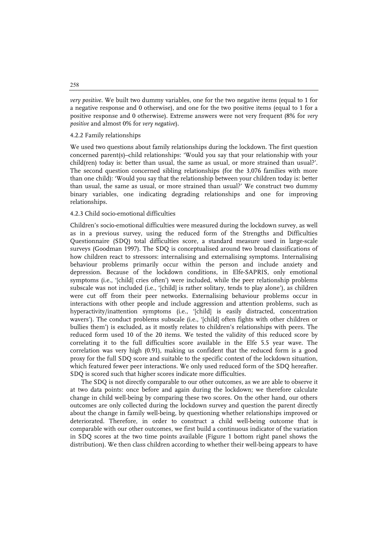*very positive*. We built two dummy variables, one for the two negative items (equal to 1 for a negative response and 0 otherwise), and one for the two positive items (equal to 1 for a positive response and 0 otherwise). Extreme answers were not very frequent (8% for *very positive* and almost 0% for *very negative*).

#### 4.2.2 Family relationships

We used two questions about family relationships during the lockdown. The first question concerned parent(s)–child relationships: 'Would you say that your relationship with your child(ren) today is: better than usual, the same as usual, or more strained than usual?'. The second question concerned sibling relationships (for the 3,076 families with more than one child): 'Would you say that the relationship between your children today is: better than usual, the same as usual, or more strained than usual?' We construct two dummy binary variables, one indicating degrading relationships and one for improving relationships.

#### 4.2.3 Child socio-emotional difficulties

Children's socio-emotional difficulties were measured during the lockdown survey, as well as in a previous survey, using the reduced form of the Strengths and Difficulties Questionnaire (SDQ) total difficulties score, a standard measure used in large-scale surveys (Goodman 1997). The SDQ is conceptualised around two broad classifications of how children react to stressors: internalising and externalising symptoms. Internalising behaviour problems primarily occur within the person and include anxiety and depression. Because of the lockdown conditions, in Elfe-SAPRIS, only emotional symptoms (i.e., '[child] cries often') were included, while the peer relationship problems subscale was not included (i.e., '[child] is rather solitary, tends to play alone'), as children were cut off from their peer networks. Externalising behaviour problems occur in interactions with other people and include aggression and attention problems, such as hyperactivity/inattention symptoms (i.e., '[child] is easily distracted, concentration wavers'). The conduct problems subscale (i.e., '[child] often fights with other children or bullies them') is excluded, as it mostly relates to children's relationships with peers. The reduced form used 10 of the 20 items. We tested the validity of this reduced score by correlating it to the full difficulties score available in the Elfe 5.5 year wave. The correlation was very high (0.91), making us confident that the reduced form is a good proxy for the full SDQ score and suitable to the specific context of the lockdown situation, which featured fewer peer interactions. We only used reduced form of the SDQ hereafter. SDQ is scored such that higher scores indicate more difficulties.

The SDQ is not directly comparable to our other outcomes, as we are able to observe it at two data points: once before and again during the lockdown; we therefore calculate change in child well-being by comparing these two scores. On the other hand, our others outcomes are only collected during the lockdown survey and question the parent directly about the change in family well-being, by questioning whether relationships improved or deteriorated. Therefore, in order to construct a child well-being outcome that is comparable with our other outcomes, we first build a continuous indicator of the variation in SDQ scores at the two time points available (Figure 1 bottom right panel shows the distribution). We then class children according to whether their well-being appears to have

258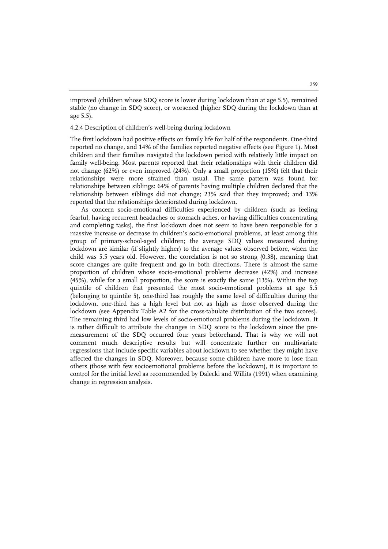improved (children whose SDQ score is lower during lockdown than at age 5.5), remained stable (no change in SDQ score), or worsened (higher SDQ during the lockdown than at age 5.5).

#### 4.2.4 Description of children's well-being during lockdown

The first lockdown had positive effects on family life for half of the respondents. One-third reported no change, and 14% of the families reported negative effects (see Figure 1). Most children and their families navigated the lockdown period with relatively little impact on family well-being. Most parents reported that their relationships with their children did not change (62%) or even improved (24%). Only a small proportion (15%) felt that their relationships were more strained than usual. The same pattern was found for relationships between siblings: 64% of parents having multiple children declared that the relationship between siblings did not change; 23% said that they improved; and 13% reported that the relationships deteriorated during lockdown.

As concern socio-emotional difficulties experienced by children (such as feeling fearful, having recurrent headaches or stomach aches, or having difficulties concentrating and completing tasks), the first lockdown does not seem to have been responsible for a massive increase or decrease in children's socio-emotional problems, at least among this group of primary-school-aged children; the average SDQ values measured during lockdown are similar (if slightly higher) to the average values observed before, when the child was 5.5 years old. However, the correlation is not so strong (0.38), meaning that score changes are quite frequent and go in both directions. There is almost the same proportion of children whose socio-emotional problems decrease (42%) and increase (45%), while for a small proportion, the score is exactly the same (13%). Within the top quintile of children that presented the most socio-emotional problems at age 5.5 (belonging to quintile 5), one-third has roughly the same level of difficulties during the lockdown, one-third has a high level but not as high as those observed during the lockdown (see Appendix Table A2 for the cross-tabulate distribution of the two scores). The remaining third had low levels of socio-emotional problems during the lockdown. It is rather difficult to attribute the changes in SDQ score to the lockdown since the premeasurement of the SDQ occurred four years beforehand. That is why we will not comment much descriptive results but will concentrate further on multivariate regressions that include specific variables about lockdown to see whether they might have affected the changes in SDQ. Moreover, because some children have more to lose than others (those with few socioemotional problems before the lockdown), it is important to control for the initial level as recommended by Dalecki and Willits (1991) when examining change in regression analysis.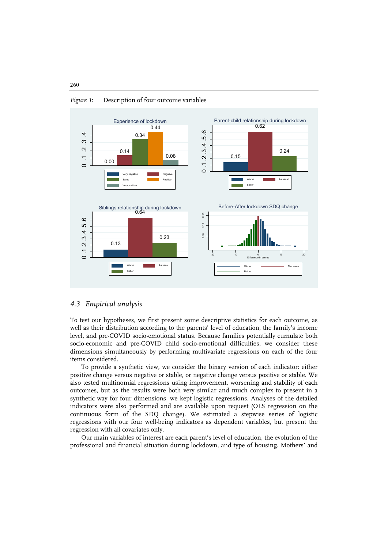

#### *Figure 1*: Description of four outcome variables

# *4.3 Empirical analysis*

To test our hypotheses, we first present some descriptive statistics for each outcome, as well as their distribution according to the parents' level of education, the family's income level, and pre-COVID socio-emotional status. Because families potentially cumulate both socio-economic and pre-COVID child socio-emotional difficulties, we consider these dimensions simultaneously by performing multivariate regressions on each of the four items considered.

To provide a synthetic view, we consider the binary version of each indicator: either positive change versus negative or stable, or negative change versus positive or stable. We also tested multinomial regressions using improvement, worsening and stability of each outcomes, but as the results were both very similar and much complex to present in a synthetic way for four dimensions, we kept logistic regressions. Analyses of the detailed indicators were also performed and are available upon request (OLS regression on the continuous form of the SDQ change). We estimated a stepwise series of logistic regressions with our four well-being indicators as dependent variables, but present the regression with all covariates only.

Our main variables of interest are each parent's level of education, the evolution of the professional and financial situation during lockdown, and type of housing. Mothers' and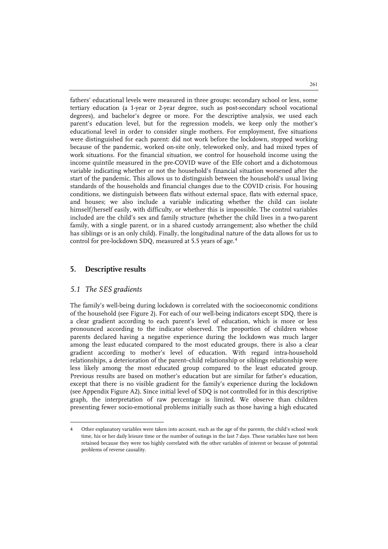fathers' educational levels were measured in three groups: secondary school or less, some tertiary education (a 1-year or 2-year degree, such as post-secondary school vocational degrees), and bachelor's degree or more. For the descriptive analysis, we used each parent's education level, but for the regression models, we keep only the mother's educational level in order to consider single mothers. For employment, five situations were distinguished for each parent: did not work before the lockdown, stopped working because of the pandemic, worked on-site only, teleworked only, and had mixed types of work situations. For the financial situation, we control for household income using the income quintile measured in the pre-COVID wave of the Elfe cohort and a dichotomous variable indicating whether or not the household's financial situation worsened after the start of the pandemic. This allows us to distinguish between the household's usual living standards of the households and financial changes due to the COVID crisis. For housing conditions, we distinguish between flats without external space, flats with external space, and houses; we also include a variable indicating whether the child can isolate himself/herself easily, with difficulty, or whether this is impossible. The control variables included are the child's sex and family structure (whether the child lives in a two-parent family, with a single parent, or in a shared custody arrangement; also whether the child has siblings or is an only child). Finally, the longitudinal nature of the data allows for us to control for pre-lockdown SDQ, measured at 5.5 years of age.<sup>[4](#page-12-0)</sup>

# **5. Descriptive results**

# *5.1 The SES gradients*

j

The family's well-being during lockdown is correlated with the socioeconomic conditions of the household (see Figure 2). For each of our well-being indicators except SDQ, there is a clear gradient according to each parent's level of education, which is more or less pronounced according to the indicator observed. The proportion of children whose parents declared having a negative experience during the lockdown was much larger among the least educated compared to the most educated groups, there is also a clear gradient according to mother's level of education. With regard intra-household relationships, a deterioration of the parent–child relationship or siblings relationship were less likely among the most educated group compared to the least educated group. Previous results are based on mother's education but are similar for father's education, except that there is no visible gradient for the family's experience during the lockdown (see Appendix Figure A2). Since initial level of SDQ is not controlled for in this descriptive graph, the interpretation of raw percentage is limited. We observe than children presenting fewer socio-emotional problems initially such as those having a high educated

<span id="page-12-0"></span><sup>4</sup> Other explanatory variables were taken into account, such as the age of the parents, the child's school work time, his or her daily leisure time or the number of outings in the last 7 days. These variables have not been retained because they were too highly correlated with the other variables of interest or because of potential problems of reverse causality.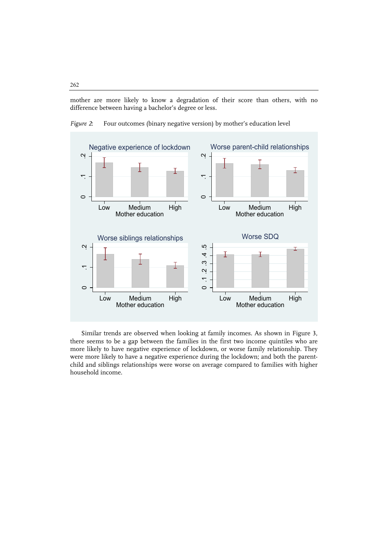mother are more likely to know a degradation of their score than others, with no difference between having a bachelor's degree or less.



*Figure 2*: Four outcomes (binary negative version) by mother's education level

Similar trends are observed when looking at family incomes. As shown in Figure 3, there seems to be a gap between the families in the first two income quintiles who are more likely to have negative experience of lockdown, or worse family relationship. They were more likely to have a negative experience during the lockdown; and both the parentchild and siblings relationships were worse on average compared to families with higher household income.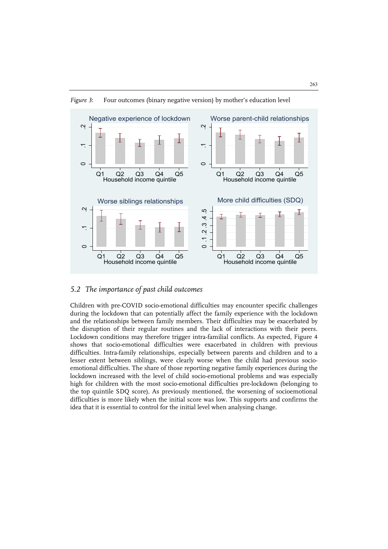

*Figure 3*: Four outcomes (binary negative version) by mother's education level

# *5.2 The importance of past child outcomes*

Children with pre-COVID socio-emotional difficulties may encounter specific challenges during the lockdown that can potentially affect the family experience with the lockdown and the relationships between family members. Their difficulties may be exacerbated by the disruption of their regular routines and the lack of interactions with their peers. Lockdown conditions may therefore trigger intra-familial conflicts. As expected, Figure 4 shows that socio-emotional difficulties were exacerbated in children with previous difficulties. Intra-family relationships, especially between parents and children and to a lesser extent between siblings, were clearly worse when the child had previous socioemotional difficulties. The share of those reporting negative family experiences during the lockdown increased with the level of child socio-emotional problems and was especially high for children with the most socio-emotional difficulties pre-lockdown (belonging to the top quintile SDQ score). As previously mentioned, the worsening of socioemotional difficulties is more likely when the initial score was low. This supports and confirms the idea that it is essential to control for the initial level when analysing change.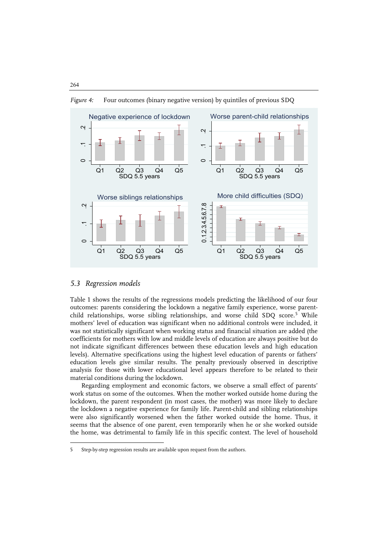

*Figure 4:* Four outcomes (binary negative version) by quintiles of previous SDQ

#### *5.3 Regression models*

 $\ddot{ }$ 

Table 1 shows the results of the regressions models predicting the likelihood of our four outcomes: parents considering the lockdown a negative family experience, worse parent-child relationships, worse sibling relationships, and worse child SDQ score.<sup>[5](#page-15-0)</sup> While mothers' level of education was significant when no additional controls were included, it was not statistically significant when working status and financial situation are added (the coefficients for mothers with low and middle levels of education are always positive but do not indicate significant differences between these education levels and high education levels). Alternative specifications using the highest level education of parents or fathers' education levels give similar results. The penalty previously observed in descriptive analysis for those with lower educational level appears therefore to be related to their material conditions during the lockdown.

Regarding employment and economic factors, we observe a small effect of parents' work status on some of the outcomes. When the mother worked outside home during the lockdown, the parent respondent (in most cases, the mother) was more likely to declare the lockdown a negative experience for family life. Parent-child and sibling relationships were also significantly worsened when the father worked outside the home. Thus, it seems that the absence of one parent, even temporarily when he or she worked outside the home, was detrimental to family life in this specific context. The level of household

<span id="page-15-0"></span><sup>5</sup> Step-by-step regression results are available upon request from the authors.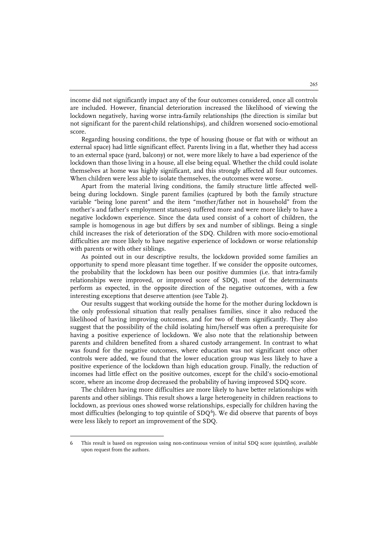income did not significantly impact any of the four outcomes considered, once all controls are included. However, financial deterioration increased the likelihood of viewing the lockdown negatively, having worse intra-family relationships (the direction is similar but not significant for the parent-child relationships), and children worsened socio-emotional score.

Regarding housing conditions, the type of housing (house or flat with or without an external space) had little significant effect. Parents living in a flat, whether they had access to an external space (yard, balcony) or not, were more likely to have a bad experience of the lockdown than those living in a house, all else being equal. Whether the child could isolate themselves at home was highly significant, and this strongly affected all four outcomes. When children were less able to isolate themselves, the outcomes were worse.

Apart from the material living conditions, the family structure little affected wellbeing during lockdown. Single parent families (captured by both the family structure variable "being lone parent" and the item "mother/father not in household" from the mother's and father's employment statuses) suffered more and were more likely to have a negative lockdown experience. Since the data used consist of a cohort of children, the sample is homogenous in age but differs by sex and number of siblings. Being a single child increases the risk of deterioration of the SDQ. Children with more socio-emotional difficulties are more likely to have negative experience of lockdown or worse relationship with parents or with other siblings.

As pointed out in our descriptive results, the lockdown provided some families an opportunity to spend more pleasant time together. If we consider the opposite outcomes, the probability that the lockdown has been our positive dummies (i.e. that intra-family relationships were improved, or improved score of SDQ), most of the determinants perform as expected, in the opposite direction of the negative outcomes, with a few interesting exceptions that deserve attention (see Table 2).

Our results suggest that working outside the home for the mother during lockdown is the only professional situation that really penalises families, since it also reduced the likelihood of having improving outcomes, and for two of them significantly. They also suggest that the possibility of the child isolating him/herself was often a prerequisite for having a positive experience of lockdown. We also note that the relationship between parents and children benefited from a shared custody arrangement. In contrast to what was found for the negative outcomes, where education was not significant once other controls were added, we found that the lower education group was less likely to have a positive experience of the lockdown than high education group. Finally, the reduction of incomes had little effect on the positive outcomes, except for the child's socio-emotional score, where an income drop decreased the probability of having improved SDQ score.

The children having more difficulties are more likely to have better relationships with parents and other siblings. This result shows a large heterogeneity in children reactions to lockdown, as previous ones showed worse relationships, especially for children having the most difficulties (belonging to top quintile of  $SDQ<sup>6</sup>$  $SDQ<sup>6</sup>$  $SDQ<sup>6</sup>$ ). We did observe that parents of boys were less likely to report an improvement of the SDQ.

j

<span id="page-16-0"></span><sup>6</sup> This result is based on regression using non-continuous version of initial SDQ score (quintiles), available upon request from the authors.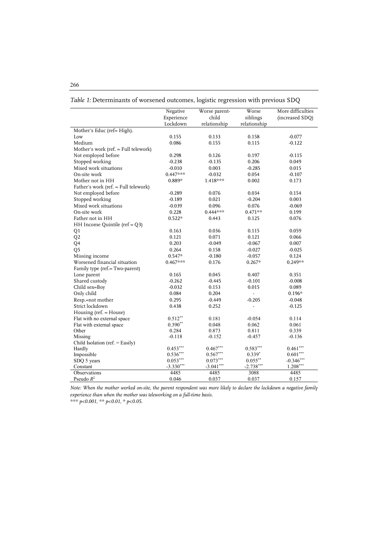|                                      | Negative               | Worse parent-          | Worse          | More difficulties      |
|--------------------------------------|------------------------|------------------------|----------------|------------------------|
|                                      | Experience             | child                  | siblings       | (increased SDQ)        |
|                                      | Lockdown               | relationship           | relationship   |                        |
| Mother's Educ (ref= High).           |                        |                        |                |                        |
| Low                                  | 0.155                  | 0.133                  | 0.158          | $-0.077$               |
| Medium                               | 0.086                  | 0.155                  | 0.115          | $-0.122$               |
| Mother's work (ref. = Full telework) |                        |                        |                |                        |
| Not employed before                  | 0.298                  | 0.126                  | 0.197          | $-0.115$               |
| Stopped working                      | $-0.238$               | $-0.135$               | 0.206          | 0.049                  |
| Mixed work situations                | $-0.010$               | 0.003                  | $-0.285$       | 0.015                  |
| On-site work                         | $0.447***$             | $-0.032$               | 0.054          | $-0.107$               |
| Mother not in HH                     | 0.889*                 | 1.418***               | 0.002          | 0.173                  |
| Father's work (ref. = Full telework) |                        |                        |                |                        |
| Not employed before                  | $-0.289$               | 0.076                  | 0.034          | 0.154                  |
| Stopped working                      | $-0.189$               | 0.021                  | $-0.204$       | 0.003                  |
| Mixed work situations                | $-0.039$               | 0.096                  | 0.076          | $-0.069$               |
| On-site work                         | 0.228                  | $0.444***$             | $0.471**$      | 0.199                  |
| Father not in HH                     | $0.522*$               | 0.443                  | 0.125          | 0.076                  |
| HH Income Quintile ( $ref = Q3$ )    |                        |                        |                |                        |
| Q1                                   | 0.163                  | 0.036                  | 0.115          | 0.059                  |
| Q <sub>2</sub>                       | 0.121                  | 0.071                  | 0.121          | 0.066                  |
| Q4                                   | 0.203                  | $-0.049$               | $-0.067$       | 0.007                  |
| Q <sub>5</sub>                       | 0.264                  | 0.158                  | $-0.027$       | $-0.025$               |
| Missing income                       | $0.547*$               | $-0.180$               | $-0.057$       | 0.124                  |
| Worsened financial situation         | $0.467***$             | 0.176                  | $0.267*$       | $0.249**$              |
| Family type (ref.= Two-parent)       |                        |                        |                |                        |
| Lone parent                          | 0.165                  | 0.045                  | 0.407          | 0.351                  |
| Shared custody                       | $-0.262$               | $-0.445$               | $-0.101$       | $-0.008$               |
| Child sex=Boy                        | $-0.032$               | 0.153                  | 0.015          | 0.089                  |
| Only child                           | 0.084                  | 0.204                  | ÷,             | $0.196*$               |
| Resp.=not mother                     | 0.295                  | $-0.449$               | $-0.205$       | $-0.048$               |
| Strict lockdown                      | 0.438                  | 0.252                  | $\overline{a}$ | $-0.125$               |
| Housing (ref. $=$ House)             |                        |                        |                |                        |
| Flat with no external space          | $0.512**$              | 0.181                  | $-0.054$       | 0.114                  |
| Flat with external space             | $0.390**$              | 0.048                  | 0.062          | 0.061                  |
| Other                                | 0.284                  | 0.873                  | 0.811          | 0.339                  |
| Missing                              | $-0.118$               | $-0.152$               | $-0.457$       | $-0.136$               |
| Child Isolation (ref. $=$ Easily)    |                        |                        |                |                        |
| Hardly                               | $0.453***$             | $0.467***$             | $0.583***$     | $0.461***$             |
| Impossible                           | $0.536^{\ast\ast\ast}$ | $0.567^{\ast\ast\ast}$ | $0.339*$       | $0.601^{\ast\ast\ast}$ |
| SDQ 5 years                          | $0.053***$             | $0.073***$             | $0.055^{**}$   | $-0.346***$            |
| Constant                             | $-3.330***$            | $-3.041***$            | $-2.738***$    | $1.208***$             |
| Observations                         | 4485                   | 4485                   | 3088           | 4485                   |
| Pseudo $R^2$                         | 0.046                  | 0.037                  | 0.037          | 0.157                  |

*Table 1:* Determinants of worsened outcomes, logistic regression with previous SDQ

*Note: When the mother worked on-site, the parent respondent was more likely to declare the lockdown a negative family experience than when the mother was teleworking on a full-time basis.*

*\*\*\* p<0.001, \*\* p<0.01, \* p<0.05.*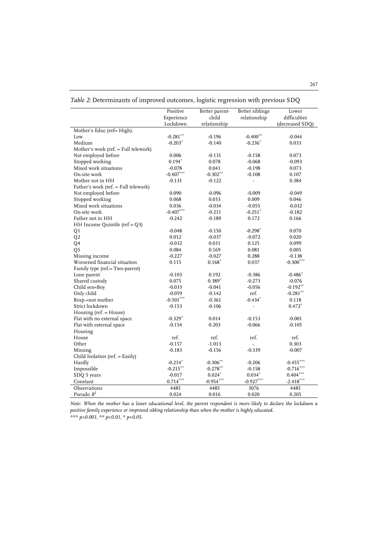|                                      | Positive    | Better parent- | Better siblings          | Lower           |
|--------------------------------------|-------------|----------------|--------------------------|-----------------|
|                                      | Experience  | child          | relationship             | difficulties    |
|                                      | Lockdown    | relationship   |                          | (decreased SDQ) |
| Mother's Educ (ref= High).           |             |                |                          |                 |
| Low                                  | $-0.281**$  | $-0.196$       | $-0.400**$               | $-0.044$        |
| Medium                               | $-0.203*$   | $-0.140$       | $-0.236*$                | 0.033           |
| Mother's work (ref. = Full telework) |             |                |                          |                 |
| Not employed before                  | 0.006       | $-0.131$       | $-0.158$                 | 0.073           |
| Stopped working                      | $0.194*$    | 0.078          | $-0.068$                 | $-0.093$        |
| Mixed work situations                | $-0.078$    | 0.041          | $-0.198$                 | 0.073           |
| On-site work                         | $-0.407***$ | $-0.302**$     | $-0.108$                 | 0.107           |
| Mother not in HH                     | $-0.131$    | $-0.122$       | $\blacksquare$           | 0.384           |
| Father's work (ref. = Full telework) |             |                |                          |                 |
| Not employed before                  | 0.090       | $-0.096$       | $-0.009$                 | $-0.049$        |
| Stopped working                      | 0.068       | 0.033          | 0.009                    | 0.046           |
| Mixed work situations                | 0.036       | $-0.034$       | $-0.055$                 | $-0.032$        |
| On-site work                         | $-0.407***$ | $-0.211$       | $-0.251*$                | $-0.182$        |
| Father not in HH                     | $-0.242$    | $-0.189$       | 0.172                    | 0.166           |
| HH Income Quintile ( $ref = Q3$ )    |             |                |                          |                 |
| Q1                                   | $-0.048$    | $-0.150$       | $-0.298*$                | 0.070           |
| Q <sub>2</sub>                       | 0.012       | $-0.037$       | $-0.072$                 | 0.020           |
| Q4                                   | $-0.032$    | 0.031          | 0.125                    | 0.099           |
| Q <sub>5</sub>                       | 0.084       | 0.169          | 0.081                    | 0.005           |
| Missing income                       | $-0.227$    | $-0.027$       | 0.288                    | $-0.138$        |
| Worsened financial situation         | 0.115       | $0.168*$       | 0.037                    | $-0.300***$     |
| Family type (ref.= Two-parent)       |             |                |                          |                 |
| Lone parent                          | $-0.103$    | 0.192          | $-0.386$                 | $-0.486*$       |
| Shared custody                       | 0.075       | $0.389*$       | $-0.273$                 | $-0.076$        |
| Child sex=Boy                        | $-0.033$    | $-0.041$       | $-0.056$                 | $-0.192***$     |
| Only child                           | $-0.059$    | $-0.142$       | ref.                     | $-0.281***$     |
| Resp.=not mother                     | $-0.501***$ | $-0.361$       | $-0.434*$                | 0.118           |
| Strict lockdown                      | $-0.153$    | $-0.106$       | $\overline{\phantom{a}}$ | $0.472*$        |
| Housing (ref. = House)               |             |                |                          |                 |
| Flat with no external space          | $-0.329*$   | 0.014          | $-0.153$                 | $-0.001$        |
| Flat with external space             | $-0.154$    | 0.203          | $-0.066$                 | $-0.105$        |
| Housing                              |             |                |                          |                 |
| House                                | ref.        | ref.           | ref.                     | ref.            |
| Other                                | $-0.157$    | $-1.013$       | ÷.                       | 0.303           |
| Missing                              | $-0.183$    | $-0.156$       | $-0.339$                 | $-0.007$        |
| Child Isolation (ref. = Easily)      |             |                |                          |                 |
| Hardly                               | $-0.214*$   | $-0.306***$    | $-0.206$                 | $-0.455***$     |
| Impossible                           | $-0.215***$ | $-0.278***$    | $-0.158$                 | $-0.716***$     |
| SDQ 5 years                          | $-0.017$    | $0.024*$       | $0.034*$                 | $0.404***$      |
| Constant                             | $0.714***$  | $-0.954***$    | $-0.927***$              | $-2.418***$     |
| Observations                         | 4485        | 4485           | 3076                     | 4485            |
| Pseudo $R^2$                         | 0.024       | 0.016          | 0.020                    | 0.205           |
|                                      |             |                |                          |                 |

| Table 2: Determinants of improved outcomes, logistic regression with previous SDQ |  |  |
|-----------------------------------------------------------------------------------|--|--|
|-----------------------------------------------------------------------------------|--|--|

*Note: When the mother has a lower educational level, the parent respondent is more likely to declare the lockdown a positive family experience or improved sibling relationship than when the mother is highly educated.* 

*\*\*\* p<0.001, \*\* p<0.01, \* p<0.05.*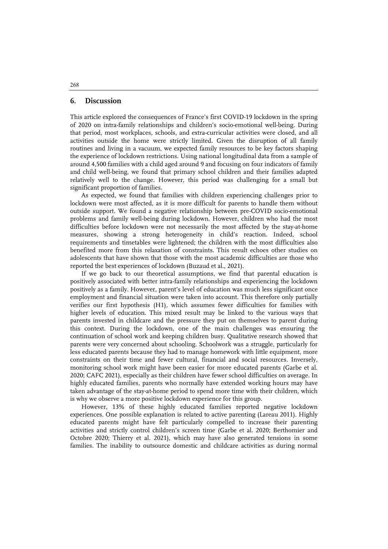#### **6. Discussion**

This article explored the consequences of France's first COVID-19 lockdown in the spring of 2020 on intra-family relationships and children's socio-emotional well-being. During that period, most workplaces, schools, and extra-curricular activities were closed, and all activities outside the home were strictly limited. Given the disruption of all family routines and living in a vacuum, we expected family resources to be key factors shaping the experience of lockdown restrictions. Using national longitudinal data from a sample of around 4,500 families with a child aged around 9 and focusing on four indicators of family and child well-being, we found that primary school children and their families adapted relatively well to the change. However, this period was challenging for a small but significant proportion of families.

As expected, we found that families with children experiencing challenges prior to lockdown were most affected, as it is more difficult for parents to handle them without outside support. We found a negative relationship between pre-COVID socio-emotional problems and family well-being during lockdown. However, children who had the most difficulties before lockdown were not necessarily the most affected by the stay-at-home measures, showing a strong heterogeneity in child's reaction. Indeed, school requirements and timetables were lightened; the children with the most difficulties also benefited more from this relaxation of constraints. This result echoes other studies on adolescents that have shown that those with the most academic difficulties are those who reported the best experiences of lockdown (Buzaud et al., 2021).

If we go back to our theoretical assumptions, we find that parental education is positively associated with better intra-family relationships and experiencing the lockdown positively as a family. However, parent's level of education was much less significant once employment and financial situation were taken into account. This therefore only partially verifies our first hypothesis (H1), which assumes fewer difficulties for families with higher levels of education. This mixed result may be linked to the various ways that parents invested in childcare and the pressure they put on themselves to parent during this context. During the lockdown, one of the main challenges was ensuring the continuation of school work and keeping children busy. Qualitative research showed that parents were very concerned about schooling. Schoolwork was a struggle, particularly for less educated parents because they had to manage homework with little equipment, more constraints on their time and fewer cultural, financial and social resources. Inversely, monitoring school work might have been easier for more educated parents (Garbe et al. 2020; CAFC 2021), especially as their children have fewer school difficulties on average. In highly educated families, parents who normally have extended working hours may have taken advantage of the stay-at-home period to spend more time with their children, which is why we observe a more positive lockdown experience for this group.

However, 13% of these highly educated families reported negative lockdown experiences. One possible explanation is related to active parenting (Lareau 2011). Highly educated parents might have felt particularly compelled to increase their parenting activities and strictly control children's screen time (Garbe et al. 2020; Berthomier and Octobre 2020; Thierry et al. 2021), which may have also generated tensions in some families. The inability to outsource domestic and childcare activities as during normal

#### 268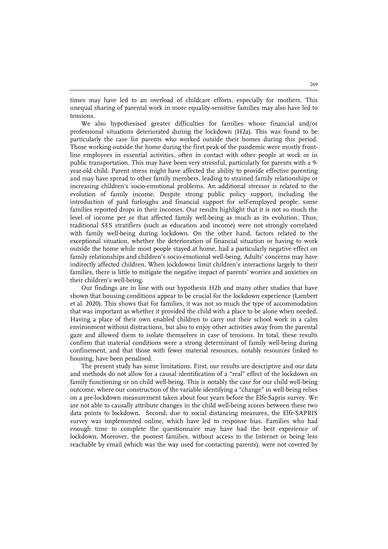times may have led to an overload of childcare efforts, especially for mothers. This unequal sharing of parental work in more equality-sensitive families may also have led to tensions.

We also hypothesised greater difficulties for families whose financial and/or professional situations deteriorated during the lockdown (H2a). This was found to be particularly the case for parents who worked outside their homes during this period. Those working outside the home during the first peak of the pandemic were mostly frontline employees in essential activities, often in contact with other people at work or in public transportation. This may have been very stressful, particularly for parents with a 9 year-old child. Parent stress might have affected the ability to provide effective parenting and may have spread to other family members, leading to strained family relationships or increasing children's socio-emotional problems. An additional stressor is related to the evolution of family income. Despite strong public policy support, including the introduction of paid furloughs and financial support for self-employed people, some families reported drops in their incomes. Our results highlight that it is not so much the level of income per se that affected family well-being as much as its evolution. Thus, traditional SES stratifiers (such as education and income) were not strongly correlated with family well-being during lockdown. On the other hand, factors related to the exceptional situation, whether the deterioration of financial situation or having to work outside the home while most people stayed at home, had a particularly negative effect on family relationships and children's socio-emotional well-being. Adults' concerns may have indirectly affected children. When lockdowns limit children's interactions largely to their families, there is little to mitigate the negative impact of parents' worries and anxieties on their children's well-being.

Our findings are in line with our hypothesis H2b and many other studies that have shown that housing conditions appear to be crucial for the lockdown experience (Lambert et al. 2020). This shows that for families, it was not so much the type of accommodation that was important as whether it provided the child with a place to be alone when needed. Having a place of their own enabled children to carry out their school work in a calm environment without distractions, but also to enjoy other activities away from the parental gaze and allowed them to isolate themselves in case of tensions. In total, these results confirm that material conditions were a strong determinant of family well-being during confinement, and that those with fewer material resources, notably resources linked to housing, have been penalised.

The present study has some limitations. First, our results are descriptive and our data and methods do not allow for a causal identification of a "real" effect of the lockdown on family functioning or on child well-being. This is notably the case for our child well-being outcome, where our construction of the variable identifying a "change" in well-being relies on a pre-lockdown measurement taken about four years before the Elfe-Sapris survey. We are not able to causally attribute changes in the child well-being scores between these two data points to lockdown. Second, due to social distancing measures, the Elfe-SAPRIS survey was implemented online, which have led to response bias. Families who had enough time to complete the questionnaire may have had the best experience of lockdown. Moreover, the poorest families, without access to the Internet or being less reachable by email (which was the way used for contacting parents), were not covered by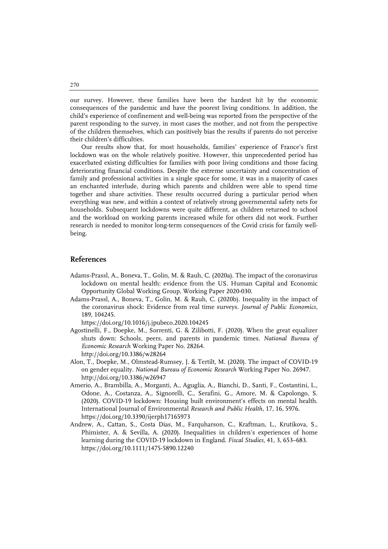our survey. However, these families have been the hardest hit by the economic consequences of the pandemic and have the poorest living conditions. In addition, the child's experience of confinement and well-being was reported from the perspective of the parent responding to the survey, in most cases the mother, and not from the perspective of the children themselves, which can positively bias the results if parents do not perceive their children's difficulties.

Our results show that, for most households, families' experience of France's first lockdown was on the whole relatively positive. However, this unprecedented period has exacerbated existing difficulties for families with poor living conditions and those facing deteriorating financial conditions. Despite the extreme uncertainty and concentration of family and professional activities in a single space for some, it was in a majority of cases an enchanted interlude, during which parents and children were able to spend time together and share activities. These results occurred during a particular period when everything was new, and within a context of relatively strong governmental safety nets for households. Subsequent lockdowns were quite different, as children returned to school and the workload on working parents increased while for others did not work. Further research is needed to monitor long-term consequences of the Covid crisis for family wellbeing.

## **References**

- Adams-Prassl, A., Boneva, T., Golin, M. & Rauh, C. (2020a). The impact of the coronavirus lockdown on mental health: evidence from the US. Human Capital and Economic Opportunity Global Working Group, Working Paper 2020-030.
- Adams-Prassl, A., Boneva, T., Golin, M. & Rauh, C. (2020b). Inequality in the impact of the coronavirus shock: Evidence from real time surveys. *Journal of Public Economics*, 189, 104245.

https://doi.org/10.1016/j.jpubeco.2020.104245

- Agostinelli, F., Doepke, M., Sorrenti, G. & Zilibotti, F. (2020). When the great equalizer shuts down: Schools, peers, and parents in pandemic times. *National Bureau of Economic Research* Working Paper No. 28264. http://doi.org/10.3386/w28264
- Alon, T., Doepke, M., Olmstead-Rumsey, J. & Tertilt, M. (2020). The impact of COVID-19 on gender equality. *National Bureau of Economic Research* Working Paper No. 26947. http://doi.org/10.3386/w26947
- Amerio, A., Brambilla, A., Morganti, A., Aguglia, A., Bianchi, D., Santi, F., Costantini, L., Odone, A., Costanza, A., Signorelli, C., Serafini, G., Amore, M. & Capolongo, S. (2020). COVID-19 lockdown: Housing built environment's effects on mental health. International Journal of Environmental *Research and Public Health*, 17, 16, 5976. https://doi.org/10.3390/ijerph17165973
- Andrew, A., Cattan, S., Costa Dias, M., Farquharson, C., Kraftman, L., Krutikova, S., Phimister, A. & Sevilla, A. (2020). Inequalities in children's experiences of home learning during the COVID-19 lockdown in England. *Fiscal Studies*, 41, 3, 653–683. https://doi.org/10.1111/1475-5890.12240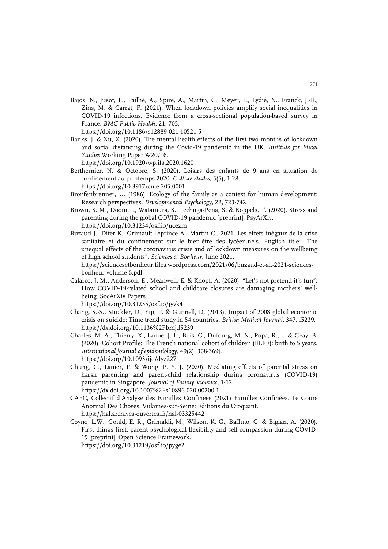Bajos, N., Jusot, F., Pailhé, A., Spire, A., Martin, C., Meyer, L., Lydié, N., Franck, J.-E., Zins, M. & Carrat, F. (2021). When lockdown policies amplify social inequalities in COVID-19 infections. Evidence from a cross-sectional population-based survey in France. *BMC Public Health*, 21, 705.

https://doi.org/10.1186/s12889-021-10521-5

Banks, J. & Xu, X. (2020). The mental health effects of the first two months of lockdown and social distancing during the Covid-19 pandemic in the UK. *Institute for Fiscal Studies* Working Paper W20/16.

https://doi.org/10.1920/wp.ifs.2020.1620

- Berthomier, N. & Octobre, S. (2020). Loisirs des enfants de 9 ans en situation de confinement au printemps 2020. *Culture études*, 5(5), 1-28. https://doi.org/10.3917/cule.205.0001
- Bronfenbrenner, U. (1986). Ecology of the family as a context for human development: Research perspectives. *Developmental Psychology*, 22, 723-742
- Brown, S. M., Doom, J., Watamura, S., Lechuga-Pena, S. & Koppels, T. (2020). Stress and parenting during the global COVID-19 pandemic [preprint]. PsyArXiv. https://doi.org/10.31234/osf.io/ucezm
- Buzaud J., Diter K., Grimault-Leprince A., Martin C., 2021. Les effets inégaux de la crise sanitaire et du confinement sur le bien-être des lycéen.ne.s. English title: "The unequal effects of the coronavirus crisis and of lockdown measures on the wellbeing of high school students", *Sciences et Bonheur*, June 2021. https://sciencesetbonheur.files.wordpress.com/2021/06/buzaud-et-al.-2021-sciencesbonheur-volume-6.pdf
- Calarco, J. M., Anderson, E., Meanwell, E. & Knopf, A. (2020). "Let's not pretend it's fun": How COVID-19-related school and childcare closures are damaging mothers' wellbeing. SocArXiv Papers.

https://doi.org/10.31235/osf.io/jyvk4

- Chang, S.-S., Stuckler, D., Yip, P. & Gunnell, D. (2013). Impact of 2008 global economic crisis on suicide: Time trend study in 54 countries. *British Medical Journal*, 347, f5239. https://dx.doi.org/10.1136%2Fbmj.f5239
- Charles, M. A., Thierry, X., Lanoe, J. L., Bois, C., Dufourg, M. N., Popa, R., ... & Geay, B. (2020). Cohort Profile: The French national cohort of children (ELFE): birth to 5 years. *International journal of epidemiology*, 49(2), 368-369j. https://doi.org/10.1093/ije/dyz227
- Chung, G., Lanier, P. & Wong, P. Y. J. (2020). Mediating effects of parental stress on harsh parenting and parent-child relationship during coronavirus (COVID-19) pandemic in Singapore. *Journal of Family Violence*, 1-12. https://dx.doi.org/10.1007%2Fs10896-020-00200-1
- CAFC, Collectif d'Analyse des Familles Confinées (2021) Familles Confinées. Le Cours Anormal Des Choses. Vulaines-sur-Seine: Editions du Croquant. https://hal.archives-ouvertes.fr/hal-03325442
- Coyne, L.W., Gould, E. R., Grimaldi, M., Wilson, K. G., Baffuto, G. & Biglan, A. (2020). First things first: parent psychological flexibility and self-compassion during COVID-19 [preprint]. Open Science Framework. https://doi.org/10.31219/osf.io/pyge2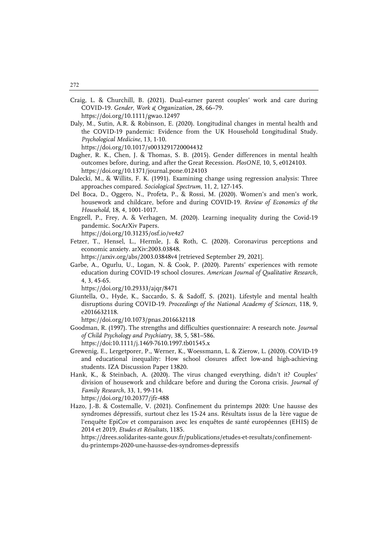- Craig, L. & Churchill, B. (2021). Dual‐earner parent couples' work and care during COVID‐19. *Gender, Work & Organization*, 28, 66–79. https://doi.org/10.1111/gwao.12497
- Daly, M., Sutin, A.R. & Robinson, E. (2020). Longitudinal changes in mental health and the COVID-19 pandemic: Evidence from the UK Household Longitudinal Study. *Psychological Medicine*, 13, 1-10.

https://doi.org/10.1017/s0033291720004432

- Dagher, R. K., Chen, J. & Thomas, S. B. (2015). Gender differences in mental health outcomes before, during, and after the Great Recession. *PlosONE*, 10, 5, e0124103. https://doi.org/10.1371/journal.pone.0124103
- Dalecki, M., & Willits, F. K. (1991). Examining change using regression analysis: Three approaches compared. *Sociological Spectrum*, 11, 2, 127-145.
- Del Boca, D., Oggero, N., Profeta, P., & Rossi, M. (2020). Women's and men's work, housework and childcare, before and during COVID-19. *Review of Economics of the Household*, 18, 4, 1001-1017.
- Engzell, P., Frey, A. & Verhagen, M. (2020). Learning inequality during the Covid-19 pandemic. SocArXiv Papers.
	- https://doi.org/10.31235/osf.io/ve4z7
- Fetzer, T., Hensel, L., Hermle, J. & Roth, C. (2020). Coronavirus perceptions and economic anxiety. arXiv:2003.03848.

https://arxiv.org/abs/2003.03848v4 [retrieved September 29, 2021].

Garbe, A., Ogurlu, U., Logan, N. & Cook, P. (2020). Parents' experiences with remote education during COVID-19 school closures. *American Journal of Qualitative Research*, 4, 3, 45-65.

https://doi.org/10.29333/ajqr/8471

Giuntella, O., Hyde, K., Saccardo, S. & Sadoff, S. (2021). Lifestyle and mental health disruptions during COVID-19. *Proceedings of the National Academy of Sciences*, 118, 9, e2016632118.

https://doi.org/10.1073/pnas.2016632118

- Goodman, R. (1997). The strengths and difficulties questionnaire: A research note. *Journal of Child Psychology and Psychiatry*, 38, 5, 581–586. https://doi:10.1111/j.1469-7610.1997.tb01545.x
- Grewenig, E., Lergetporer, P., Werner, K., Woessmann, L. & Zierow, L. (2020). COVID-19 and educational inequality: How school closures affect low-and high-achieving students. IZA Discussion Paper 13820.
- Hank, K., & Steinbach, A. (2020). The virus changed everything, didn't it? Couples' division of housework and childcare before and during the Corona crisis. *Journal of Family Research*, 33, 1, 99-114.

https://doi.org/10.20377/jfr-488

Hazo, J.-B. & Costemalle, V. (2021). Confinement du printemps 2020: Une hausse des syndromes dépressifs, surtout chez les 15-24 ans. Résultats issus de la 1ère vague de l'enquête EpiCov et comparaison avec les enquêtes de santé européennes (EHIS) de 2014 et 2019, *Etudes et Résultats*, 1185.

https://drees.solidarites-sante.gouv.fr/publications/etudes-et-resultats/confinementdu-printemps-2020-une-hausse-des-syndromes-depressifs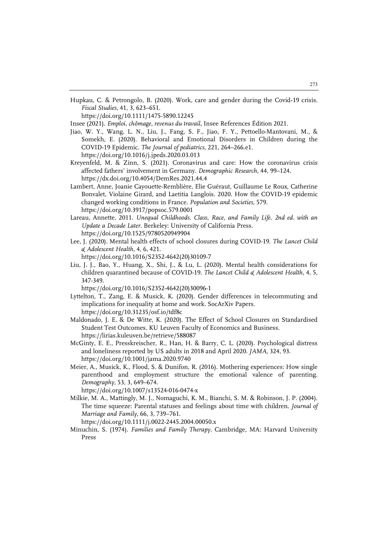Hupkau, C. & Petrongolo, B. (2020). Work, care and gender during the Covid-19 crisis. *Fiscal Studies*, 41, 3, 623–651.

https://doi.org/10.1111/1475-5890.12245

Insee (2021). *Emploi, chômage, revenus du travail*, Insee References Édition 2021.

- Jiao, W. Y., Wang, L. N., Liu, J., Fang, S. F., Jiao, F. Y., Pettoello-Mantovani, M., & Somekh, E. (2020). Behavioral and Emotional Disorders in Children during the COVID-19 Epidemic. *The Journal of pediatrics*, 221, 264–266.e1. https://doi.org/10.1016/j.jpeds.2020.03.013
- Kreyenfeld, M. & Zinn, S. (2021). Coronavirus and care: How the coronavirus crisis affected fathers' involvement in Germany. *Demographic Research*, 44, 99–124. https://dx.doi.org/10.4054/DemRes.2021.44.4
- Lambert, Anne, Joanie Cayouette-Remblière, Elie Guéraut, Guillaume Le Roux, Catherine Bonvalet, Violaine Girard, and Laetitia Langlois. 2020. How the COVID-19 epidemic changed working conditions in France. *Population and Societies,* 579. https://doi.org/10.3917/popsoc.579.0001
- Lareau, Annette. 2011. *Unequal Childhoods. Class, Race, and Family Life. 2nd ed. with an Update a Decade Later*. Berkeley: University of California Press. https://doi.org/10.1525/9780520949904
- Lee, J. (2020). Mental health effects of school closures during COVID-19. *The Lancet Child & Adolescent Health*, 4, 6, 421.

https://doi.org/10.1016/S2352-4642(20)30109-7

Liu, J. J., Bao, Y., Huang, X., Shi, J., & Lu, L. (2020). Mental health considerations for children quarantined because of COVID-19. *The Lancet Child & Adolescent Health*, 4, 5, 347-349.

https://doi.org/10.1016/S2352-4642(20)30096-1

- Lyttelton, T., Zang, E. & Musick, K. (2020). Gender differences in telecommuting and implications for inequality at home and work. SocArXiv Papers. https://doi.org/10.31235/osf.io/tdf8c
- Maldonado, J. E. & De Witte, K. (2020). The Effect of School Closures on Standardised Student Test Outcomes. KU Leuven Faculty of Economics and Business. https://lirias.kuleuven.be/retrieve/588087
- McGinty, E. E., Presskreischer, R., Han, H. & Barry, C. L. (2020). Psychological distress and loneliness reported by US adults in 2018 and April 2020. *JAMA*, 324, 93. https://doi.org/10.1001/jama.2020.9740
- Meier, A., Musick, K., Flood, S. & Dunifon, R. (2016). Mothering experiences: How single parenthood and employment structure the emotional valence of parenting. *Demography*, 53, 3, 649–674.

https://doi.org/10.1007/s13524-016-0474-x

Milkie, M. A., Mattingly, M. J., Nomaguchi, K. M., Bianchi, S. M. & Robinson, J. P. (2004). The time squeeze: Parental statuses and feelings about time with children. *Journal of Marriage and Family*, 66, 3, 739–761.

https://doi.org/10.1111/j.0022-2445.2004.00050.x

Minuchin, S. (1974). *Families and Family Therapy*. Cambridge, MA: Harvard University Press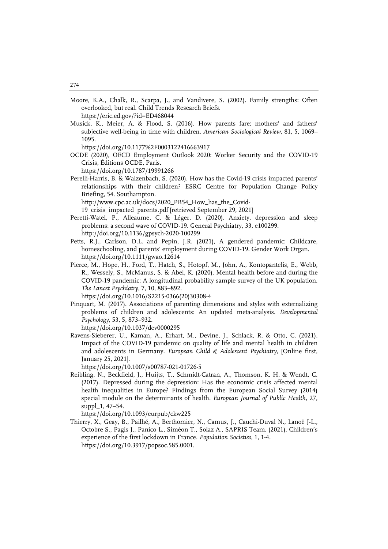Moore, K.A., Chalk, R., Scarpa, J., and Vandivere, S. (2002). Family strengths: Often overlooked, but real. Child Trends Research Briefs.

https://eric.ed.gov/?id=ED468044

Musick, K., Meier, A. & Flood, S. (2016). How parents fare: mothers' and fathers' subjective well-being in time with children. *American Sociological Review*, 81, 5, 1069– 1095.

https://doi.org/10.1177%2F0003122416663917

OCDE (2020), OECD Employment Outlook 2020: Worker Security and the COVID-19 Crisis, Éditions OCDE, Paris.

https://doi.org/10.1787/19991266

Perelli-Harris, B. & Walzenbach, S. (2020). How has the Covid-19 crisis impacted parents' relationships with their children? ESRC Centre for Population Change Policy Briefing, 54. Southampton.

http://www.cpc.ac.uk/docs/2020\_PB54\_How\_has\_the\_Covid-

19\_crisis\_impacted\_parents.pdf [retrieved September 29, 2021]

- Peretti-Watel, P., Alleaume, C. & Léger, D. (2020). Anxiety, depression and sleep problems: a second wave of COVID-19. General Psychiatry, 33, e100299. http://doi.org/10.1136/gpsych-2020-100299
- Petts, R.J., Carlson, D.L. and Pepin, J.R. (2021), A gendered pandemic: Childcare, homeschooling, and parents' employment during COVID‐19. Gender Work Organ. https://doi.org/10.1111/gwao.12614
- Pierce, M., Hope, H., Ford, T., Hatch, S., Hotopf, M., John, A., Kontopantelis, E., Webb, R., Wessely, S., McManus, S. & Abel, K. (2020). Mental health before and during the COVID-19 pandemic: A longitudinal probability sample survey of the UK population. *The Lancet Psychiatry*, 7, 10, 883–892.

https://doi.org/10.1016/S2215-0366(20)30308-4

Pinquart, M. (2017). Associations of parenting dimensions and styles with externalizing problems of children and adolescents: An updated meta-analysis. *Developmental Psychology*, 53, 5, 873–932.

https://doi.org/10.1037/dev0000295

Ravens-Sieberer, U., Kaman, A., Erhart, M., Devine, J., Schlack, R. & Otto, C. (2021). Impact of the COVID-19 pandemic on quality of life and mental health in children and adolescents in Germany. *European Child & Adolescent Psychiatry*, [Online first, January 25, 2021].

https://doi.org/10.1007/s00787-021-01726-5

Reibling, N., Beckfield, J., Huijts, T., Schmidt-Catran, A., Thomson, K. H. & Wendt, C. (2017). Depressed during the depression: Has the economic crisis affected mental health inequalities in Europe? Findings from the European Social Survey (2014) special module on the determinants of health. *European Journal of Public Health*, 27, suppl\_1, 47–54.

https://doi.org/10.1093/eurpub/ckw225

Thierry, X., Geay, B., Pailhé, A., Berthomier, N., Camus, J., Cauchi-Duval N., Lanoë J-L., Octobre S., Pagis J., Panico L., Siméon T., Solaz A., SAPRIS Team. (2021). Children's experience of the first lockdown in France. *Population Societies*, 1, 1-4. https://doi.org/10.3917/popsoc.585.0001.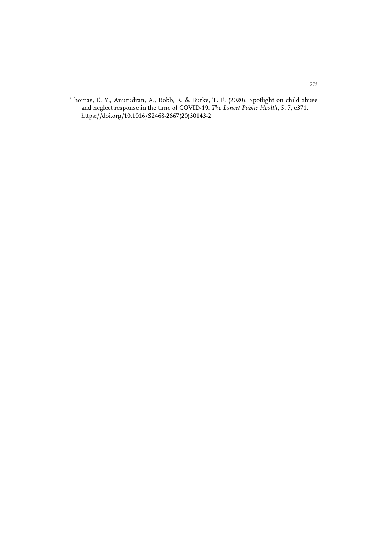Thomas, E. Y., Anurudran, A., Robb, K. & Burke, T. F. (2020). Spotlight on child abuse and neglect response in the time of COVID-19. *The Lancet Public Health*, 5, 7, e371. https://doi.org/10.1016/S2468-2667(20)30143-2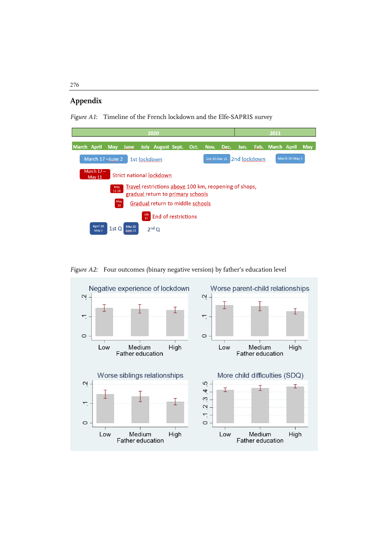# **Appendix**

*Figure A1*: Timeline of the French lockdown and the Elfe-SAPRIS survey



Figure A2: Four outcomes (binary negative version) by father's education level

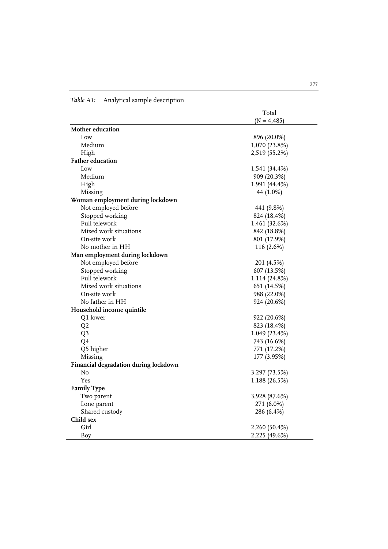|                                       | Total         |
|---------------------------------------|---------------|
|                                       | $(N = 4,485)$ |
| Mother education                      |               |
| Low                                   | 896 (20.0%)   |
| Medium                                | 1,070 (23.8%) |
| High                                  | 2,519 (55.2%) |
| <b>Father education</b>               |               |
| Low                                   | 1,541 (34.4%) |
| Medium                                | 909 (20.3%)   |
| High                                  | 1,991 (44.4%) |
| Missing                               | 44 (1.0%)     |
| Woman employment during lockdown      |               |
| Not employed before                   | 441 (9.8%)    |
| Stopped working                       | 824 (18.4%)   |
| Full telework                         | 1,461 (32.6%) |
| Mixed work situations                 | 842 (18.8%)   |
| On-site work                          | 801 (17.9%)   |
| No mother in HH                       | 116 (2.6%)    |
| Man employment during lockdown        |               |
| Not employed before                   | 201 (4.5%)    |
| Stopped working                       | 607 (13.5%)   |
| Full telework                         | 1,114 (24.8%) |
| Mixed work situations                 | 651 (14.5%)   |
| On-site work                          | 988 (22.0%)   |
| No father in HH                       | 924 (20.6%)   |
| Household income quintile             |               |
| Q1 lower                              | 922 (20.6%)   |
| Q <sub>2</sub>                        | 823 (18.4%)   |
| Q <sub>3</sub>                        | 1,049 (23.4%) |
| Q4                                    | 743 (16.6%)   |
| Q5 higher                             | 771 (17.2%)   |
| Missing                               | 177 (3.95%)   |
| Financial degradation during lockdown |               |
| No                                    | 3,297 (73.5%) |
| Yes                                   | 1,188 (26.5%) |
| <b>Family Type</b>                    |               |
| Two parent                            | 3,928 (87.6%) |
| Lone parent                           | 271 (6.0%)    |
| Shared custody                        | 286 (6.4%)    |
| Child sex                             |               |
| Girl                                  | 2,260 (50.4%) |
| <b>Boy</b>                            | 2,225 (49.6%) |

*Table A1:* Analytical sample description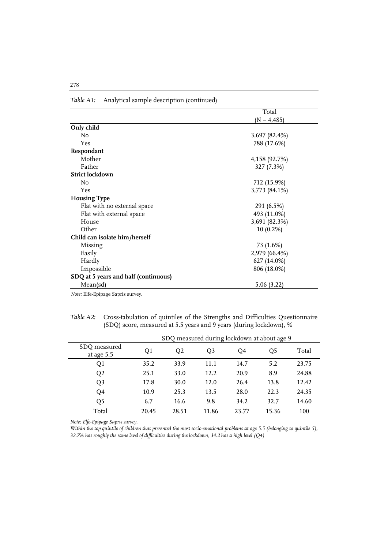|                                      | Total         |
|--------------------------------------|---------------|
|                                      | $(N = 4,485)$ |
| Only child                           |               |
| No                                   | 3,697 (82.4%) |
| Yes                                  | 788 (17.6%)   |
| Respondant                           |               |
| Mother                               | 4,158 (92.7%) |
| Father                               | 327 (7.3%)    |
| <b>Strict lockdown</b>               |               |
| No                                   | 712 (15.9%)   |
| Yes                                  | 3,773 (84.1%) |
| <b>Housing Type</b>                  |               |
| Flat with no external space          | 291 (6.5%)    |
| Flat with external space             | 493 (11.0%)   |
| House                                | 3,691 (82.3%) |
| Other                                | 10 (0.2%)     |
| Child can isolate him/herself        |               |
| Missing                              | 73 (1.6%)     |
| Easily                               | 2,979 (66.4%) |
| Hardly                               | 627 (14.0%)   |
| Impossible                           | 806 (18.0%)   |
| SDQ at 5 years and half (continuous) |               |
| Mean(sd)                             | 5.06(3.22)    |

*Table A1:* Analytical sample description (continued)

*Note:* Elfe-Epipage Sapris survey.

*Table A2:* Cross-tabulation of quintiles of the Strengths and Difficulties Questionnaire (SDQ) score, measured at 5.5 years and 9 years (during lockdown), %

|                            | SDQ measured during lockdown at about age 9 |                |       |       |                |       |
|----------------------------|---------------------------------------------|----------------|-------|-------|----------------|-------|
| SDQ measured<br>at age 5.5 | Q1                                          | Q <sub>2</sub> | Q3    | Q4    | Q <sub>5</sub> | Total |
| Q1                         | 35.2                                        | 33.9           | 11.1  | 14.7  | 5.2            | 23.75 |
| Q2                         | 25.1                                        | 33.0           | 12.2  | 20.9  | 8.9            | 24.88 |
| Q <sub>3</sub>             | 17.8                                        | 30.0           | 12.0  | 26.4  | 13.8           | 12.42 |
| Q4                         | 10.9                                        | 25.3           | 13.5  | 28.0  | 22.3           | 24.35 |
| Q <sub>5</sub>             | 6.7                                         | 16.6           | 9.8   | 34.2  | 32.7           | 14.60 |
| Total                      | 20.45                                       | 28.51          | 11.86 | 23.77 | 15.36          | 100   |

*Note: Elfe-Epipage Sapris survey.*

*Within the top quintile of children that presented the most socio-emotional problems at age 5.5 (belonging to quintile 5), 32.7% has roughly the same level of difficulties during the lockdown, 34.2 has a high level (Q4)*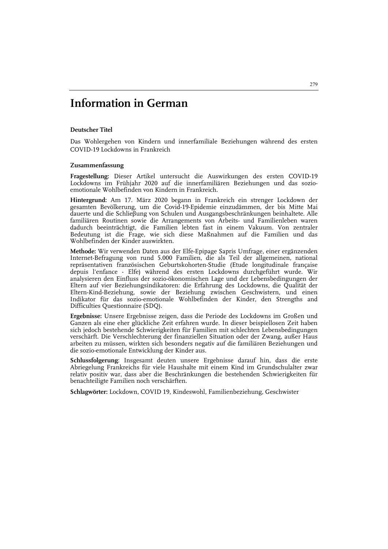# **Information in German**

#### **Deutscher Titel**

Das Wohlergehen von Kindern und innerfamiliale Beziehungen während des ersten COVID-19 Lockdowns in Frankreich

#### **Zusammenfassung**

**Fragestellung:** Dieser Artikel untersucht die Auswirkungen des ersten COVID-19 Lockdowns im Frühjahr 2020 auf die innerfamiliären Beziehungen und das sozioemotionale Wohlbefinden von Kindern in Frankreich.

**Hintergrund:** Am 17. März 2020 begann in Frankreich ein strenger Lockdown der gesamten Bevölkerung, um die Covid-19-Epidemie einzudämmen, der bis Mitte Mai dauerte und die Schlieβung von Schulen und Ausgangsbeschränkungen beinhaltete. Alle familiären Routinen sowie die Arrangements von Arbeits- und Familienleben waren dadurch beeinträchtigt, die Familien lebten fast in einem Vakuum. Von zentraler Bedeutung ist die Frage, wie sich diese Maßnahmen auf die Familien und das Wohlbefinden der Kinder auswirkten.

**Methode:** Wir verwenden Daten aus der Elfe-Epipage Sapris Umfrage, einer ergänzenden Internet-Befragung von rund 5.000 Familien, die als Teil der allgemeinen, national repräsentativen französischen Geburtskohorten-Studie (Etude longitudinale française depuis l'enfance - Elfe) während des ersten Lockdowns durchgeführt wurde. Wir analysieren den Einfluss der sozio-ökonomischen Lage und der Lebensbedingungen der Eltern auf vier Beziehungsindikatoren: die Erfahrung des Lockdowns, die Qualität der Eltern-Kind-Beziehung, sowie der Beziehung zwischen Geschwistern, und einen Indikator für das sozio-emotionale Wohlbefinden der Kinder, den Strengths and Difficulties Questionnaire (SDQ).

**Ergebnisse:** Unsere Ergebnisse zeigen, dass die Periode des Lockdowns im Großen und Ganzen als eine eher glückliche Zeit erfahren wurde. In dieser beispiellosen Zeit haben sich jedoch bestehende Schwierigkeiten für Familien mit schlechten Lebensbedingungen verschärft. Die Verschlechterung der finanziellen Situation oder der Zwang, außer Haus arbeiten zu müssen, wirkten sich besonders negativ auf die familiären Beziehungen und die sozio-emotionale Entwicklung der Kinder aus.

**Schlussfolgerung**: Insgesamt deuten unsere Ergebnisse darauf hin, dass die erste Abriegelung Frankreichs für viele Haushalte mit einem Kind im Grundschulalter zwar relativ positiv war, dass aber die Beschränkungen die bestehenden Schwierigkeiten für benachteiligte Familien noch verschärften.

**Schlagwörter:** Lockdown, COVID 19, Kindeswohl, Familienbeziehung, Geschwister